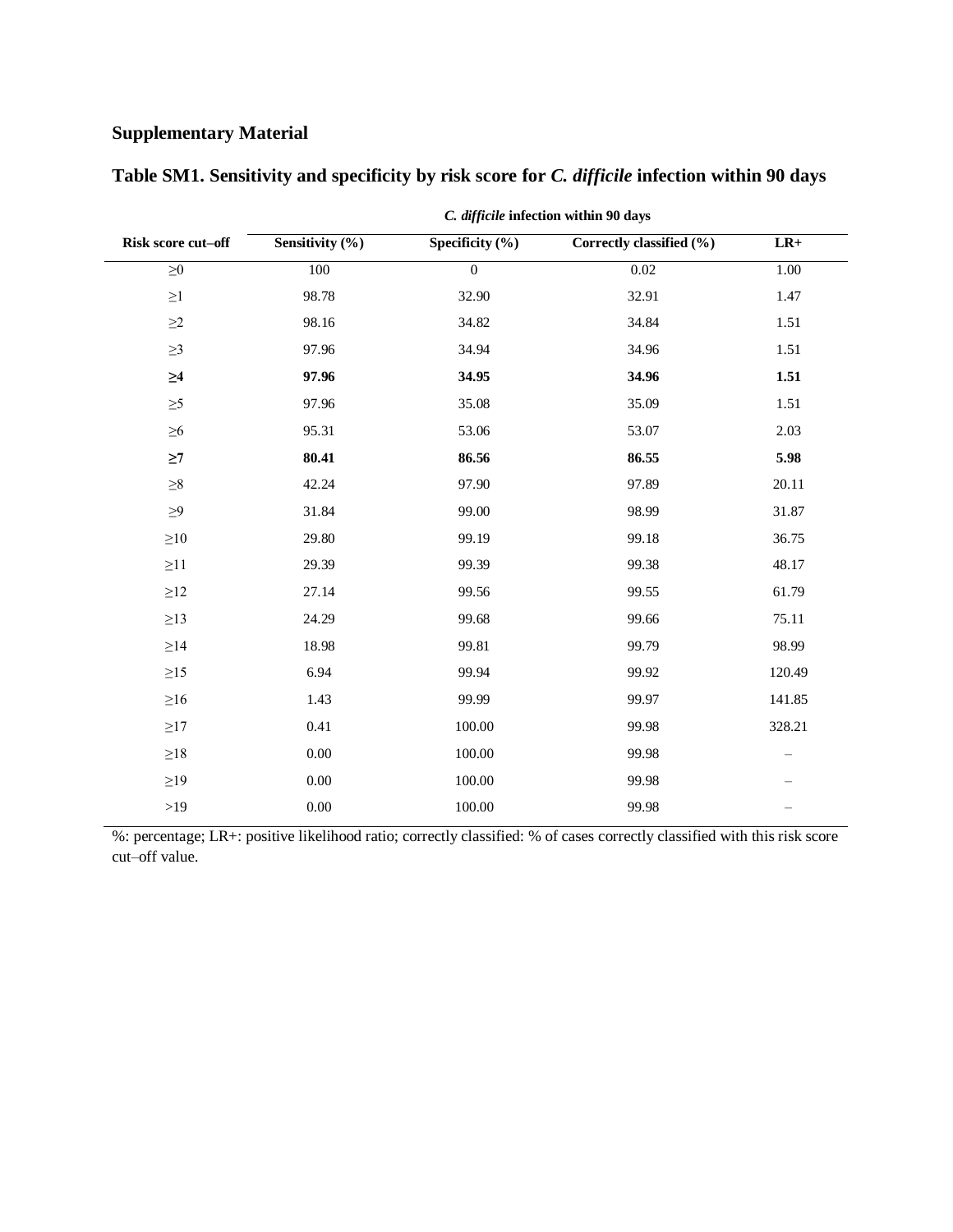## **Supplementary Material**

| Risk score cut-off | Sensitivity (%) | Specificity $(\% )$ | Correctly classified (%) | $\mathbf{L} \mathbf{R}+$ |
|--------------------|-----------------|---------------------|--------------------------|--------------------------|
| ${\geq}0$          | 100             | $\overline{0}$      | $0.02\,$                 | 1.00                     |
| $\geq$ 1           | 98.78           | 32.90               | 32.91                    | 1.47                     |
| $\geq$ 2           | 98.16           | 34.82               | 34.84                    | 1.51                     |
| $\geq$ 3           | 97.96           | 34.94               | 34.96                    | 1.51                     |
| $\geq 4$           | 97.96           | 34.95               | 34.96                    | 1.51                     |
| $\geq 5$           | 97.96           | 35.08               | 35.09                    | 1.51                     |
| $\geq 6$           | 95.31           | 53.06               | 53.07                    | 2.03                     |
| $\geq$ 7           | 80.41           | 86.56               | 86.55                    | 5.98                     |
| ${\geq}8$          | 42.24           | 97.90               | 97.89                    | 20.11                    |
| $\geq 9$           | 31.84           | 99.00               | 98.99                    | 31.87                    |
| $\geq 10$          | 29.80           | 99.19               | 99.18                    | 36.75                    |
| $\geq$ 11          | 29.39           | 99.39               | 99.38                    | 48.17                    |
| $\geq$ 12          | 27.14           | 99.56               | 99.55                    | 61.79                    |
| $\geq$ 13          | 24.29           | 99.68               | 99.66                    | 75.11                    |
| ${\geq}14$         | 18.98           | 99.81               | 99.79                    | 98.99                    |
| $\geq$ 15          | 6.94            | 99.94               | 99.92                    | 120.49                   |
| $\geq$ 16          | 1.43            | 99.99               | 99.97                    | 141.85                   |
| $\geq$ 17          | 0.41            | 100.00              | 99.98                    | 328.21                   |
| ${\geq}18$         | 0.00            | 100.00              | 99.98                    | $\overline{\phantom{m}}$ |
| $\geq$ 19          | $0.00\,$        | 100.00              | 99.98                    |                          |
| $>19$              | $0.00\,$        | 100.00              | 99.98                    |                          |
|                    |                 |                     |                          |                          |

**Table SM1. Sensitivity and specificity by risk score for** *C. difficile* **infection within 90 days**

*C. difficile* **infection within 90 days**

%: percentage; LR+: positive likelihood ratio; correctly classified: % of cases correctly classified with this risk score cut–off value.